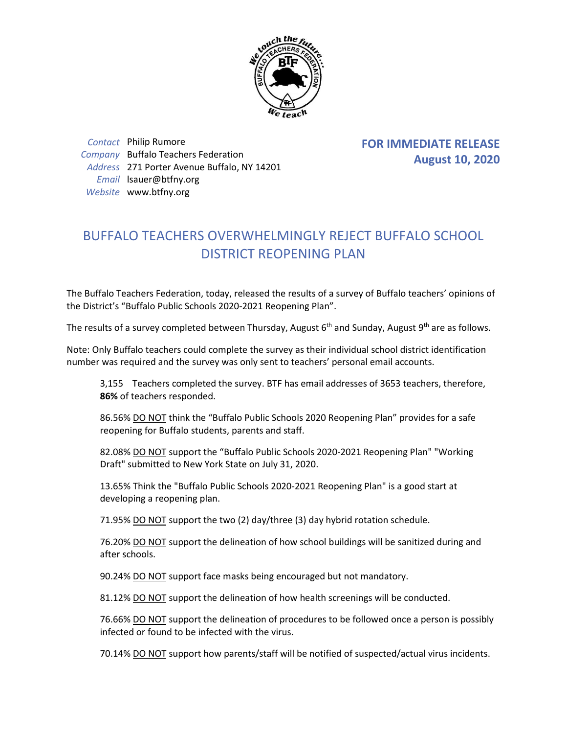

*Contact* Philip Rumore *Company* Buffalo Teachers Federation *Address* 271 Porter Avenue Buffalo, NY 14201 *Email* lsauer@btfny.org *Website* www.btfny.org

**FOR IMMEDIATE RELEASE August 10, 2020**

## BUFFALO TEACHERS OVERWHELMINGLY REJECT BUFFALO SCHOOL DISTRICT REOPENING PLAN

The Buffalo Teachers Federation, today, released the results of a survey of Buffalo teachers' opinions of the District's "Buffalo Public Schools 2020-2021 Reopening Plan".

The results of a survey completed between Thursday, August  $6<sup>th</sup>$  and Sunday, August 9<sup>th</sup> are as follows.

Note: Only Buffalo teachers could complete the survey as their individual school district identification number was required and the survey was only sent to teachers' personal email accounts.

3,155 Teachers completed the survey. BTF has email addresses of 3653 teachers, therefore, **86%** of teachers responded.

86.56% DO NOT think the "Buffalo Public Schools 2020 Reopening Plan" provides for a safe reopening for Buffalo students, parents and staff.

82.08% DO NOT support the "Buffalo Public Schools 2020-2021 Reopening Plan" "Working Draft" submitted to New York State on July 31, 2020.

13.65% Think the "Buffalo Public Schools 2020-2021 Reopening Plan" is a good start at developing a reopening plan.

71.95% DO NOT support the two (2) day/three (3) day hybrid rotation schedule.

76.20% DO NOT support the delineation of how school buildings will be sanitized during and after schools.

90.24% DO NOT support face masks being encouraged but not mandatory.

81.12% DO NOT support the delineation of how health screenings will be conducted.

76.66% DO NOT support the delineation of procedures to be followed once a person is possibly infected or found to be infected with the virus.

70.14% DO NOT support how parents/staff will be notified of suspected/actual virus incidents.